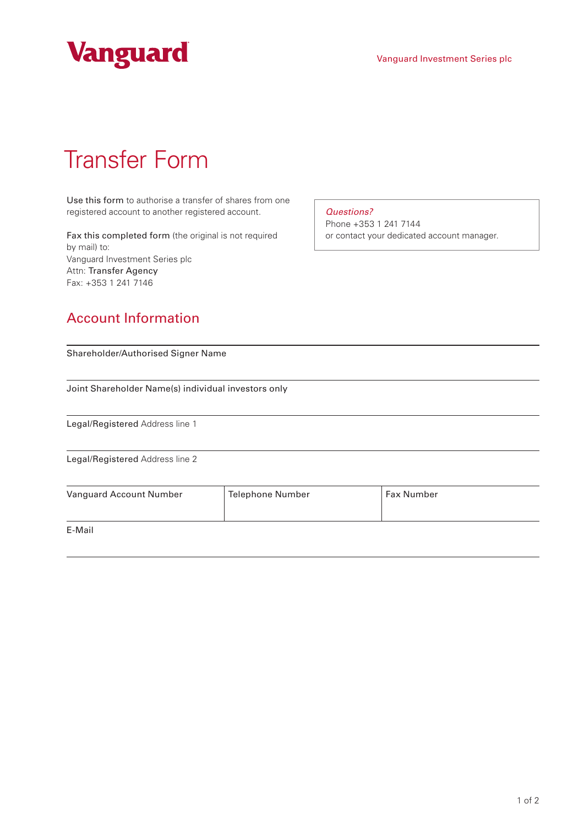



# Transfer Form

Use this form to authorise a transfer of shares from one registered account to another registered account.

Fax this completed form (the original is not required by mail) to: Vanguard Investment Series plc Attn: Transfer Agency Fax: +353 1 241 7146

#### *Questions?*

Phone +353 1 241 7144 or contact your dedicated account manager.

### Account Information

| Shareholder/Authorised Signer Name<br>Joint Shareholder Name(s) individual investors only |                         |            |  |  |
|-------------------------------------------------------------------------------------------|-------------------------|------------|--|--|
|                                                                                           |                         |            |  |  |
| Legal/Registered Address line 2                                                           |                         |            |  |  |
| Vanguard Account Number                                                                   | <b>Telephone Number</b> | Fax Number |  |  |
| E-Mail                                                                                    |                         |            |  |  |